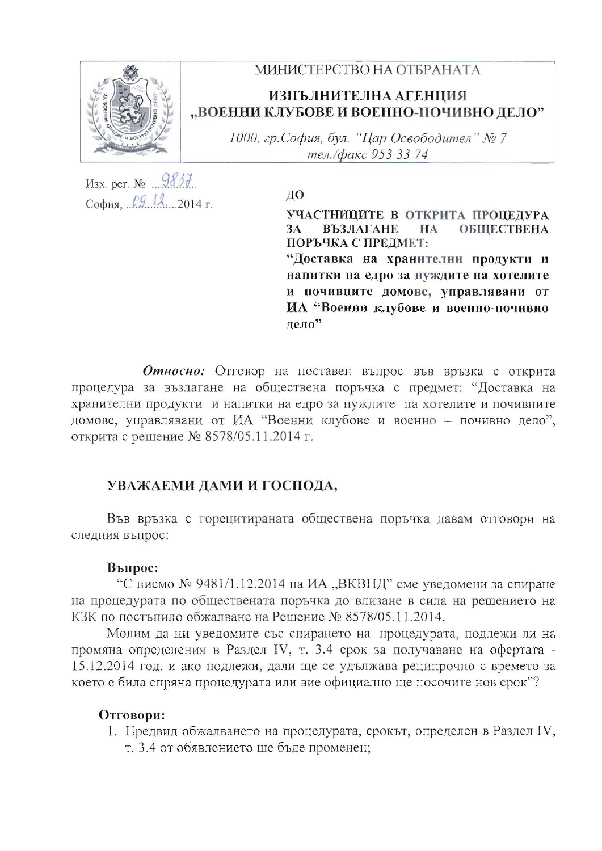

## МИНИСТЕРСТВО НА ОТБРАНАТА

# ИЗПЪЛНИТЕЛНА АГЕНЦИЯ "ВОЕННИ КЛУБОВЕ И ВОЕННО-ПОЧИВНО ДЕЛО"

1000, гр.София, бул. "Цар Освободител" № 7 тел./факс 953 33 74

 $M3x.$  per.  $N_2$   $9837$ София,  $l9$   $l2$ . 2014 г.

ДО УЧАСТНИЦИТЕ В ОТКРИТА ПРОЦЕДУРА **ВЪЗЛАГАНЕ 3A**  $HA$ **ОБЩЕСТВЕНА** ПОРЪЧКА С ПРЕДМЕТ: "Доставка на хранителни продукти и напитки на едро за нуждите на хотелите и почивните домове, управлявани от

ИА "Военни клубове и военно-почивно лело"

Относно: Отговор на поставен въпрос във връзка с открита процедура за възлагане на обществена поръчка с предмет: "Доставка на хранителни продукти и напитки на едро за нуждите на хотелите и почивните домове, управлявани от ИА "Военни клубове и военно - почивно дело", открита с решение № 8578/05.11.2014 г.

### УВАЖАЕМИ ДАМИ И ГОСПОДА,

Във връзка с горецитираната обществена поръчка давам отговори на следния въпрос:

#### Въпрос:

"С писмо  $\mathcal{N}_2$  9481/1.12.2014 па ИА "ВКВПД" сме уведомени за спиране на процедурата по обществената поръчка до влизане в сила на решението на КЗК по постъпило обжалване на Решение № 8578/05.11.2014.

Молим да ни уведомите със спирането на процедурата, подлежи ли на промяна определения в Раздел IV, т. 3.4 срок за получаване на офертата -15.12.2014 год. и ако подлежи, дали ще се удължава реципрочно с времето за което е била спряна процедурата или вие официално ще посочите нов срок"?

### Отговори:

1. Предвид обжалването на процедурата, срокът, определен в Раздел IV, т. 3.4 от обявлението ще бъде променен;